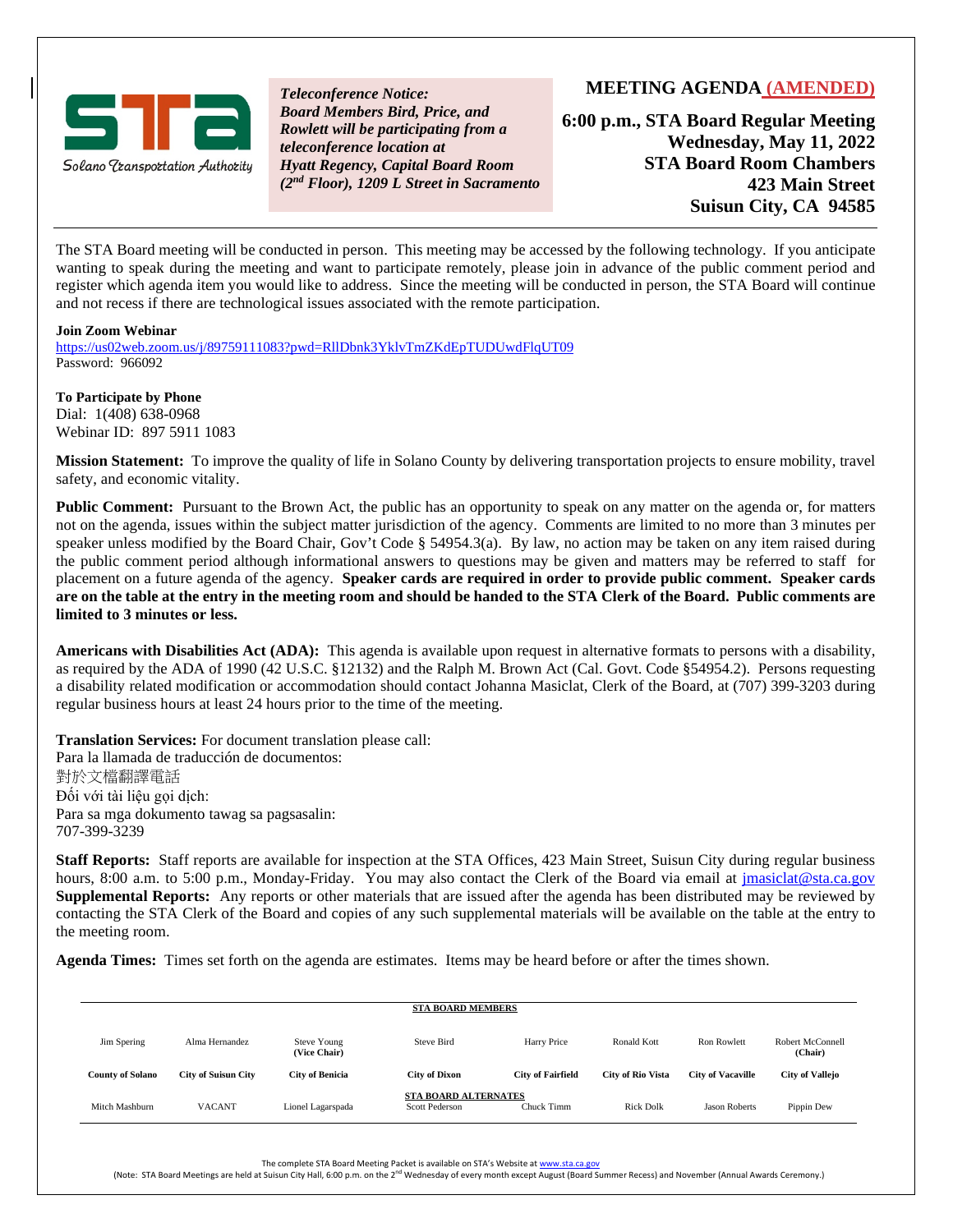

*Teleconference Notice: Board Members Bird, Price, and Rowlett will be participating from a teleconference location at Hyatt Regency, Capital Board Room (2nd Floor), 1209 L Street in Sacramento*

#### **MEETING AGENDA (AMENDED)**

**6:00 p.m., STA Board Regular Meeting Wednesday, May 11, 2022 STA Board Room Chambers 423 Main Street Suisun City, CA 94585**

The STA Board meeting will be conducted in person. This meeting may be accessed by the following technology. If you anticipate wanting to speak during the meeting and want to participate remotely, please join in advance of the public comment period and register which agenda item you would like to address. Since the meeting will be conducted in person, the STA Board will continue and not recess if there are technological issues associated with the remote participation.

#### **Join Zoom Webinar**

<https://us02web.zoom.us/j/89759111083?pwd=RllDbnk3YklvTmZKdEpTUDUwdFlqUT09> Password: 966092

**To Participate by Phone** Dial: 1(408) 638-0968 Webinar ID: 897 5911 1083

**Mission Statement:** To improve the quality of life in Solano County by delivering transportation projects to ensure mobility, travel safety, and economic vitality.

**Public Comment:** Pursuant to the Brown Act, the public has an opportunity to speak on any matter on the agenda or, for matters not on the agenda, issues within the subject matter jurisdiction of the agency. Comments are limited to no more than 3 minutes per speaker unless modified by the Board Chair, Gov't Code § 54954.3(a). By law, no action may be taken on any item raised during the public comment period although informational answers to questions may be given and matters may be referred to staff for placement on a future agenda of the agency. **Speaker cards are required in order to provide public comment. Speaker cards are on the table at the entry in the meeting room and should be handed to the STA Clerk of the Board. Public comments are limited to 3 minutes or less.**

**Americans with Disabilities Act (ADA):** This agenda is available upon request in alternative formats to persons with a disability, as required by the ADA of 1990 (42 U.S.C. §12132) and the Ralph M. Brown Act (Cal. Govt. Code §54954.2). Persons requesting a disability related modification or accommodation should contact Johanna Masiclat, Clerk of the Board, at (707) 399-3203 during regular business hours at least 24 hours prior to the time of the meeting.

**Translation Services:** For document translation please call: Para la llamada de traducción de documentos: 對於文檔翻譯電話 Đối với tài liệu gọi dịch: Para sa mga dokumento tawag sa pagsasalin: 707-399-3239

**Staff Reports:** Staff reports are available for inspection at the STA Offices, 423 Main Street, Suisun City during regular business hours, 8:00 a.m. to 5:00 p.m., Monday-Friday. You may also contact the Clerk of the Board via email at jmasiclat@sta.ca.gov **Supplemental Reports:** Any reports or other materials that are issued after the agenda has been distributed may be reviewed by contacting the STA Clerk of the Board and copies of any such supplemental materials will be available on the table at the entry to the meeting room.

**Agenda Times:** Times set forth on the agenda are estimates. Items may be heard before or after the times shown.

| <b>STA BOARD MEMBERS</b> |                            |                                    |                                                      |                          |                          |                          |                             |  |  |  |
|--------------------------|----------------------------|------------------------------------|------------------------------------------------------|--------------------------|--------------------------|--------------------------|-----------------------------|--|--|--|
| Jim Spering              | Alma Hernandez             | <b>Steve Young</b><br>(Vice Chair) | Steve Bird                                           | Harry Price              | Ronald Kott              | <b>Ron Rowlett</b>       | Robert McConnell<br>(Chair) |  |  |  |
| <b>County of Solano</b>  | <b>City of Suisun City</b> | <b>City of Benicia</b>             | <b>City of Dixon</b>                                 | <b>City of Fairfield</b> | <b>City of Rio Vista</b> | <b>City of Vacaville</b> | <b>City of Vallejo</b>      |  |  |  |
| Mitch Mashburn           | <b>VACANT</b>              | Lionel Lagarspada                  | <b>STA BOARD ALTERNATES</b><br><b>Scott Pederson</b> | Chuck Timm               | <b>Rick Dolk</b>         | <b>Jason Roberts</b>     | Pippin Dew                  |  |  |  |

The complete STA Board Meeting Packet is available on STA's Website a[t www.sta.ca.gov](http://www.sta.ca.gov/)

(Note: STA Board Meetings are held at Suisun City Hall, 6:00 p.m. on the 2<sup>nd</sup> Wednesday of every month except August (Board Summer Recess) and November (Annual Awards Ceremony.)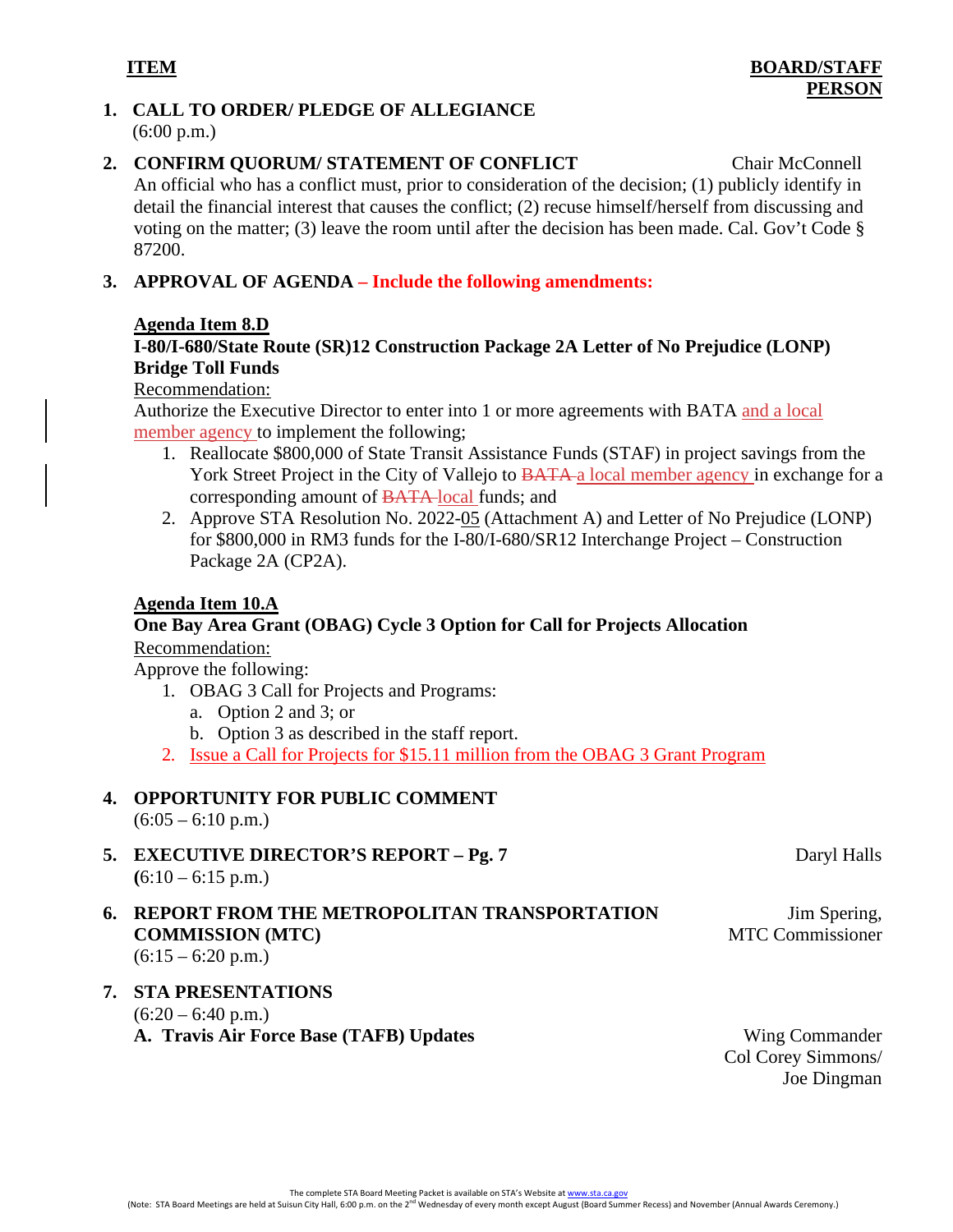#### **1. CALL TO ORDER/ PLEDGE OF ALLEGIANCE** (6:00 p.m.)

- **2. CONFIRM QUORUM/ STATEMENT OF CONFLICT** Chair McConnell An official who has a conflict must, prior to consideration of the decision; (1) publicly identify in detail the financial interest that causes the conflict; (2) recuse himself/herself from discussing and voting on the matter; (3) leave the room until after the decision has been made. Cal. Gov't Code § 87200.
- **3. APPROVAL OF AGENDA – Include the following amendments:**

#### **Agenda Item 8.D**

# **I-80/I-680/State Route (SR)12 Construction Package 2A Letter of No Prejudice (LONP) Bridge Toll Funds**

#### Recommendation:

Authorize the Executive Director to enter into 1 or more agreements with BATA and a local member agency to implement the following;

- 1. Reallocate \$800,000 of State Transit Assistance Funds (STAF) in project savings from the York Street Project in the City of Vallejo to <del>BATA</del> a local member agency in exchange for a corresponding amount of BATA local funds; and
- 2. Approve STA Resolution No. 2022-05 (Attachment A) and Letter of No Prejudice (LONP) for \$800,000 in RM3 funds for the I-80/I-680/SR12 Interchange Project – Construction Package 2A (CP2A).

#### **Agenda Item 10.A**

# **One Bay Area Grant (OBAG) Cycle 3 Option for Call for Projects Allocation** Recommendation:

Approve the following:

- 1. OBAG 3 Call for Projects and Programs:
	- a. Option 2 and 3; or
	- b. Option 3 as described in the staff report.
- 2. Issue a Call for Projects for \$15.11 million from the OBAG 3 Grant Program

# **4. OPPORTUNITY FOR PUBLIC COMMENT**

 $(6:05 - 6:10 \text{ p.m.})$ 

- **5. EXECUTIVE DIRECTOR'S REPORT – Pg. 7**  $(6:10 - 6:15 \text{ p.m.})$
- **6. REPORT FROM THE METROPOLITAN TRANSPORTATION COMMISSION (MTC)**  $(6:15 - 6:20 \text{ p.m.})$

# **7. STA PRESENTATIONS**  $(6:20 - 6:40 \text{ p.m.})$ **A. Travis Air Force Base (TAFB) Updates** Wing Commander

Col Corey Simmons/ Joe Dingman

MTC Commissioner

Daryl Halls

Jim Spering,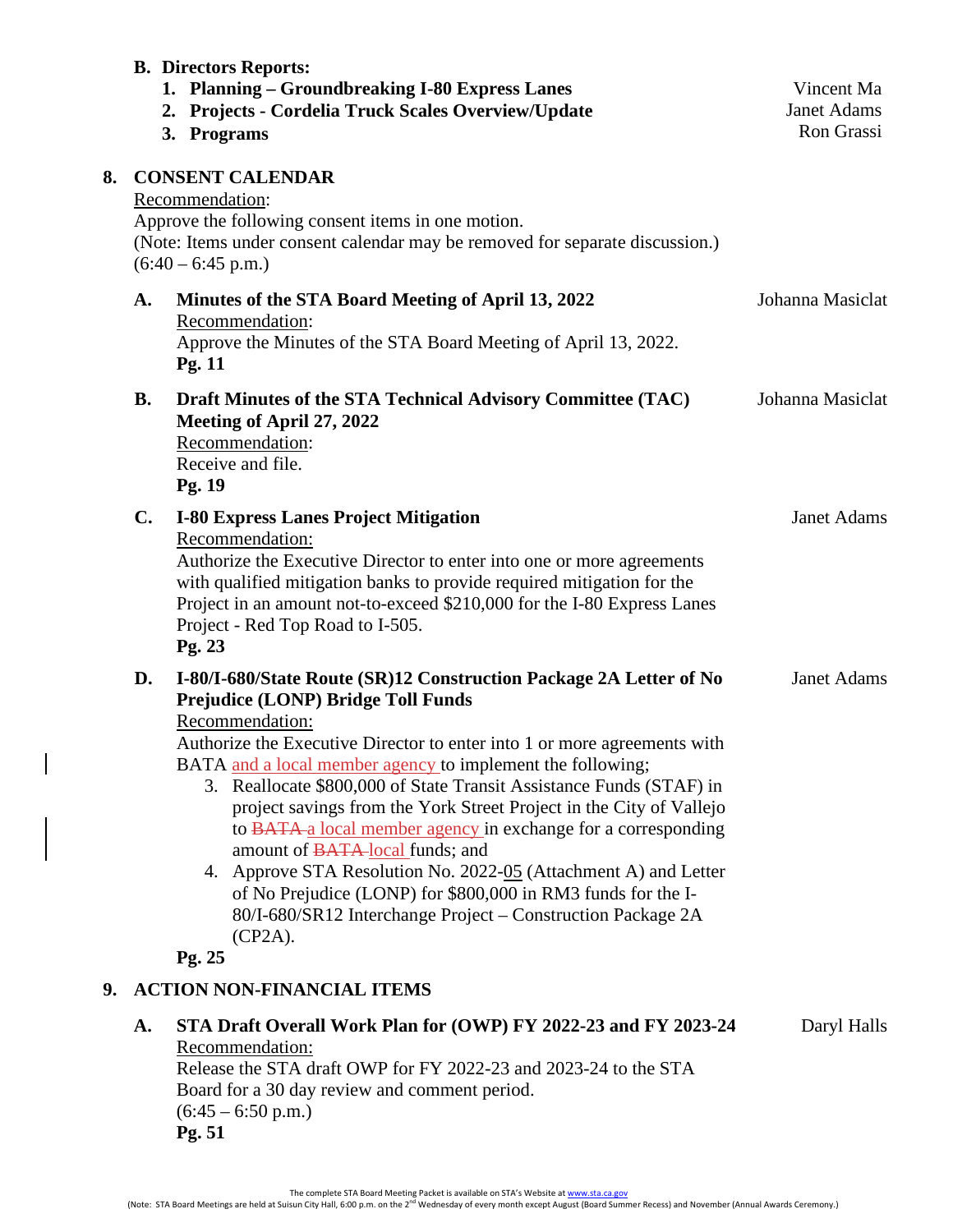|    |           | <b>B. Directors Reports:</b><br>1. Planning – Groundbreaking I-80 Express Lanes<br><b>Projects - Cordelia Truck Scales Overview/Update</b><br>2.<br>3. Programs                                                                                                                                                                                                                                                                                                                                                                                                                                                                                                                                                                                   | Vincent Ma<br><b>Janet Adams</b><br>Ron Grassi |  |  |  |  |
|----|-----------|---------------------------------------------------------------------------------------------------------------------------------------------------------------------------------------------------------------------------------------------------------------------------------------------------------------------------------------------------------------------------------------------------------------------------------------------------------------------------------------------------------------------------------------------------------------------------------------------------------------------------------------------------------------------------------------------------------------------------------------------------|------------------------------------------------|--|--|--|--|
| 8. |           | <b>CONSENT CALENDAR</b><br>Recommendation:<br>Approve the following consent items in one motion.<br>(Note: Items under consent calendar may be removed for separate discussion.)<br>$(6:40 - 6:45 \text{ p.m.})$                                                                                                                                                                                                                                                                                                                                                                                                                                                                                                                                  |                                                |  |  |  |  |
|    | A.        | Minutes of the STA Board Meeting of April 13, 2022<br>Recommendation:<br>Approve the Minutes of the STA Board Meeting of April 13, 2022.<br>Pg. 11                                                                                                                                                                                                                                                                                                                                                                                                                                                                                                                                                                                                | Johanna Masiclat                               |  |  |  |  |
|    | <b>B.</b> | Draft Minutes of the STA Technical Advisory Committee (TAC)<br>Meeting of April 27, 2022<br>Recommendation:<br>Receive and file.<br>Pg. 19                                                                                                                                                                                                                                                                                                                                                                                                                                                                                                                                                                                                        | Johanna Masiclat                               |  |  |  |  |
|    | C.        | <b>I-80 Express Lanes Project Mitigation</b><br>Recommendation:<br>Authorize the Executive Director to enter into one or more agreements<br>with qualified mitigation banks to provide required mitigation for the<br>Project in an amount not-to-exceed \$210,000 for the I-80 Express Lanes<br>Project - Red Top Road to I-505.<br>Pg. 23                                                                                                                                                                                                                                                                                                                                                                                                       | <b>Janet Adams</b>                             |  |  |  |  |
|    | D.        | I-80/I-680/State Route (SR)12 Construction Package 2A Letter of No<br>Prejudice (LONP) Bridge Toll Funds<br>Recommendation:<br>Authorize the Executive Director to enter into 1 or more agreements with<br>BATA and a local member agency to implement the following;<br>3. Reallocate \$800,000 of State Transit Assistance Funds (STAF) in<br>project savings from the York Street Project in the City of Vallejo<br>to BATA-a local member agency in exchange for a corresponding<br>amount of BATA-local funds; and<br>4. Approve STA Resolution No. 2022-05 (Attachment A) and Letter<br>of No Prejudice (LONP) for \$800,000 in RM3 funds for the I-<br>80/I-680/SR12 Interchange Project – Construction Package 2A<br>$(CP2A)$ .<br>Pg. 25 | Janet Adams                                    |  |  |  |  |
| 9. |           | <b>ACTION NON-FINANCIAL ITEMS</b>                                                                                                                                                                                                                                                                                                                                                                                                                                                                                                                                                                                                                                                                                                                 |                                                |  |  |  |  |
|    | A.        | STA Draft Overall Work Plan for (OWP) FY 2022-23 and FY 2023-24<br>Recommendation:<br>Release the STA draft OWP for FY 2022-23 and 2023-24 to the STA<br>Board for a 30 day review and comment period.<br>$(6:45 - 6:50 \text{ p.m.})$<br>Pg. 51                                                                                                                                                                                                                                                                                                                                                                                                                                                                                                  | Daryl Halls                                    |  |  |  |  |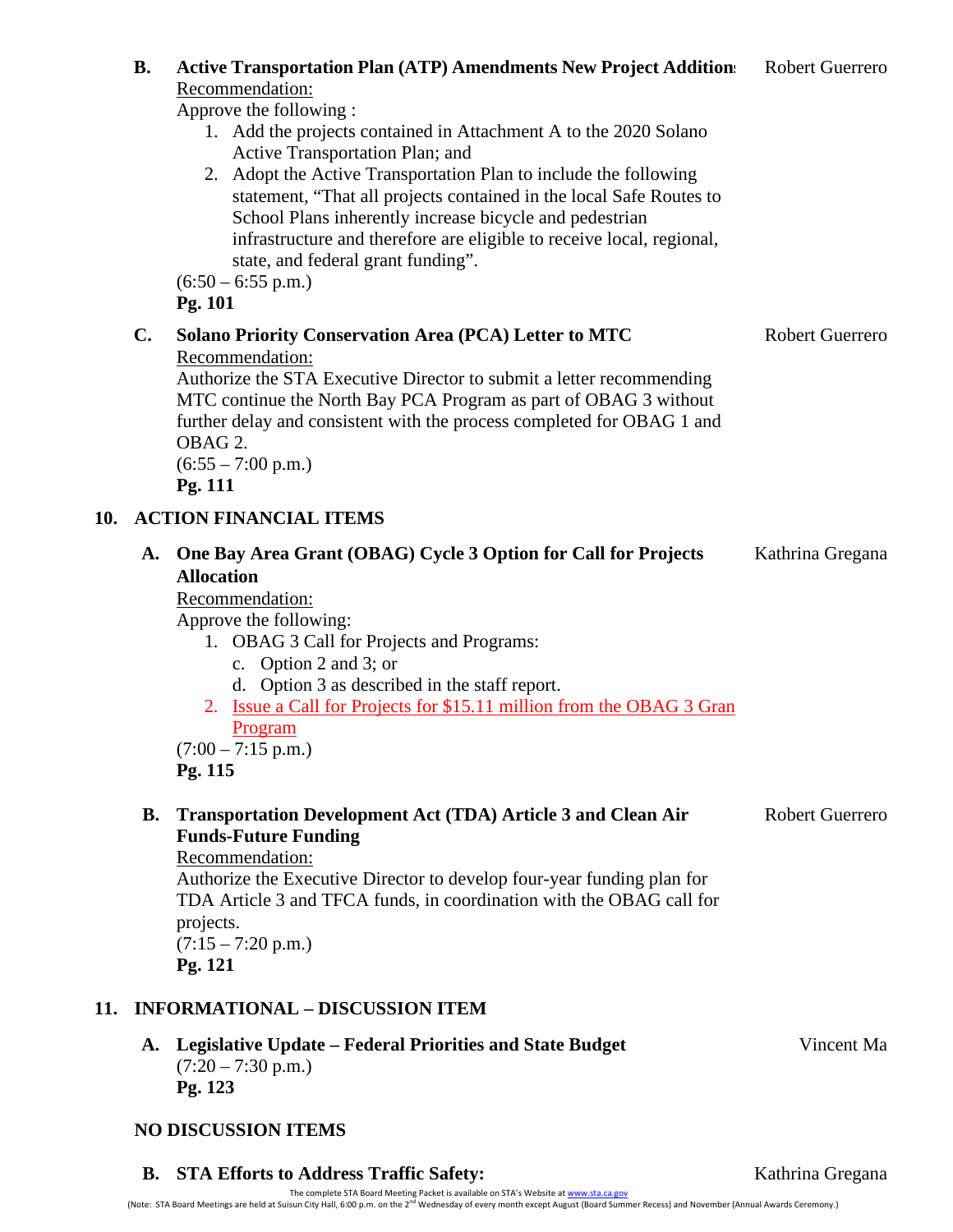|     | <b>B.</b>                              | <b>Active Transportation Plan (ATP) Amendments New Project Additions</b><br>Recommendation:                                                                                                                                                                                                                                                                                                                                                                                                   | <b>Robert Guerrero</b> |  |  |  |  |
|-----|----------------------------------------|-----------------------------------------------------------------------------------------------------------------------------------------------------------------------------------------------------------------------------------------------------------------------------------------------------------------------------------------------------------------------------------------------------------------------------------------------------------------------------------------------|------------------------|--|--|--|--|
|     |                                        | Approve the following:<br>1. Add the projects contained in Attachment A to the 2020 Solano<br>Active Transportation Plan; and<br>2. Adopt the Active Transportation Plan to include the following<br>statement, "That all projects contained in the local Safe Routes to<br>School Plans inherently increase bicycle and pedestrian<br>infrastructure and therefore are eligible to receive local, regional,<br>state, and federal grant funding".<br>$(6:50 - 6:55 \text{ p.m.})$<br>Pg. 101 |                        |  |  |  |  |
|     | $\mathbf{C}$ .                         | <b>Solano Priority Conservation Area (PCA) Letter to MTC</b><br>Recommendation:<br>Authorize the STA Executive Director to submit a letter recommending<br>MTC continue the North Bay PCA Program as part of OBAG 3 without<br>further delay and consistent with the process completed for OBAG 1 and<br>OBAG 2.<br>$(6:55 - 7:00 \text{ p.m.})$<br>Pg. 111                                                                                                                                   | <b>Robert Guerrero</b> |  |  |  |  |
| 10. | <b>ACTION FINANCIAL ITEMS</b>          |                                                                                                                                                                                                                                                                                                                                                                                                                                                                                               |                        |  |  |  |  |
|     | A.                                     | One Bay Area Grant (OBAG) Cycle 3 Option for Call for Projects<br><b>Allocation</b><br>Recommendation:<br>Approve the following:<br>1. OBAG 3 Call for Projects and Programs:<br>c. Option 2 and 3; or<br>d. Option 3 as described in the staff report.<br>2. Issue a Call for Projects for \$15.11 million from the OBAG 3 Gran<br>Program<br>$(7:00 - 7:15 \text{ p.m.})$<br>Pg. 115                                                                                                        | Kathrina Gregana       |  |  |  |  |
|     | <b>B.</b>                              | <b>Transportation Development Act (TDA) Article 3 and Clean Air</b><br><b>Funds-Future Funding</b><br>Recommendation:<br>Authorize the Executive Director to develop four-year funding plan for<br>TDA Article 3 and TFCA funds, in coordination with the OBAG call for<br>projects.<br>$(7:15 - 7:20 \text{ p.m.})$<br>Pg. 121                                                                                                                                                               | <b>Robert Guerrero</b> |  |  |  |  |
| 11. | <b>INFORMATIONAL - DISCUSSION ITEM</b> |                                                                                                                                                                                                                                                                                                                                                                                                                                                                                               |                        |  |  |  |  |
|     |                                        | A. Legislative Update – Federal Priorities and State Budget<br>$(7:20 - 7:30 \text{ p.m.})$<br>Pg. 123                                                                                                                                                                                                                                                                                                                                                                                        | Vincent Ma             |  |  |  |  |
|     |                                        |                                                                                                                                                                                                                                                                                                                                                                                                                                                                                               |                        |  |  |  |  |

# **NO DISCUSSION ITEMS**

**B. STA Efforts to Address Traffic Safety:** Kathrina Gregana